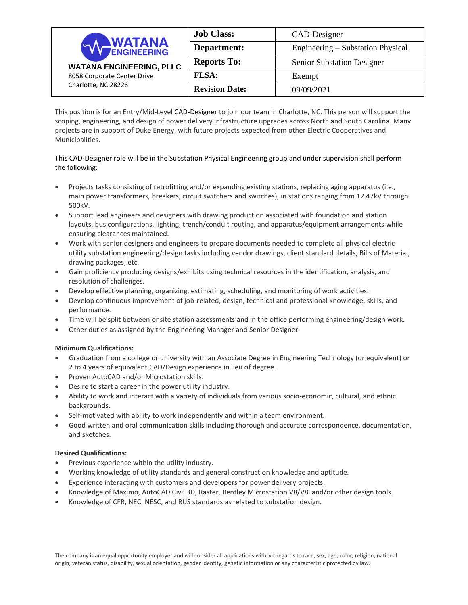| <b>WATANA</b><br><b>WATANA ENGINEERING, PLLC</b><br>8058 Corporate Center Drive<br>Charlotte, NC 28226 | <b>Job Class:</b>     | CAD-Designer                      |
|--------------------------------------------------------------------------------------------------------|-----------------------|-----------------------------------|
|                                                                                                        | Department:           | Engineering – Substation Physical |
|                                                                                                        | <b>Reports To:</b>    | <b>Senior Substation Designer</b> |
|                                                                                                        | <b>FLSA:</b>          | Exempt                            |
|                                                                                                        | <b>Revision Date:</b> | 09/09/2021                        |

This position is for an Entry/Mid-Level CAD-Designer to join our team in Charlotte, NC. This person will support the scoping, engineering, and design of power delivery infrastructure upgrades across North and South Carolina. Many projects are in support of Duke Energy, with future projects expected from other Electric Cooperatives and Municipalities.

# This CAD-Designer role will be in the Substation Physical Engineering group and under supervision shall perform the following:

- Projects tasks consisting of retrofitting and/or expanding existing stations, replacing aging apparatus (i.e., main power transformers, breakers, circuit switchers and switches), in stations ranging from 12.47kV through 500kV.
- Support lead engineers and designers with drawing production associated with foundation and station layouts, bus configurations, lighting, trench/conduit routing, and apparatus/equipment arrangements while ensuring clearances maintained.
- Work with senior designers and engineers to prepare documents needed to complete all physical electric utility substation engineering/design tasks including vendor drawings, client standard details, Bills of Material, drawing packages, etc.
- Gain proficiency producing designs/exhibits using technical resources in the identification, analysis, and resolution of challenges.
- Develop effective planning, organizing, estimating, scheduling, and monitoring of work activities.
- Develop continuous improvement of job-related, design, technical and professional knowledge, skills, and performance.
- Time will be split between onsite station assessments and in the office performing engineering/design work.
- Other duties as assigned by the Engineering Manager and Senior Designer.

## **Minimum Qualifications:**

- Graduation from a college or university with an Associate Degree in Engineering Technology (or equivalent) or 2 to 4 years of equivalent CAD/Design experience in lieu of degree.
- Proven AutoCAD and/or Microstation skills.
- Desire to start a career in the power utility industry.
- Ability to work and interact with a variety of individuals from various socio-economic, cultural, and ethnic backgrounds.
- Self-motivated with ability to work independently and within a team environment.
- Good written and oral communication skills including thorough and accurate correspondence, documentation, and sketches.

## **Desired Qualifications:**

- Previous experience within the utility industry.
- Working knowledge of utility standards and general construction knowledge and aptitude.
- Experience interacting with customers and developers for power delivery projects.
- Knowledge of Maximo, AutoCAD Civil 3D, Raster, Bentley Microstation V8/V8i and/or other design tools.
- Knowledge of CFR, NEC, NESC, and RUS standards as related to substation design.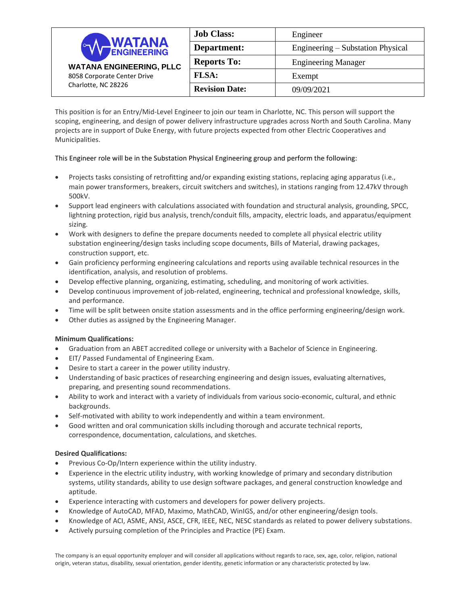| <b>WATANA</b><br>$\sim$<br><b>WATANA ENGINEERING, PLLC</b><br>8058 Corporate Center Drive<br>Charlotte, NC 28226 | <b>Job Class:</b>     | Engineer                          |
|------------------------------------------------------------------------------------------------------------------|-----------------------|-----------------------------------|
|                                                                                                                  | Department:           | Engineering – Substation Physical |
|                                                                                                                  | <b>Reports To:</b>    | <b>Engineering Manager</b>        |
|                                                                                                                  | <b>FLSA:</b>          | Exempt                            |
|                                                                                                                  | <b>Revision Date:</b> | 09/09/2021                        |

This position is for an Entry/Mid-Level Engineer to join our team in Charlotte, NC. This person will support the scoping, engineering, and design of power delivery infrastructure upgrades across North and South Carolina. Many projects are in support of Duke Energy, with future projects expected from other Electric Cooperatives and Municipalities.

# This Engineer role will be in the Substation Physical Engineering group and perform the following:

- Projects tasks consisting of retrofitting and/or expanding existing stations, replacing aging apparatus (i.e., main power transformers, breakers, circuit switchers and switches), in stations ranging from 12.47kV through 500kV.
- Support lead engineers with calculations associated with foundation and structural analysis, grounding, SPCC, lightning protection, rigid bus analysis, trench/conduit fills, ampacity, electric loads, and apparatus/equipment sizing.
- Work with designers to define the prepare documents needed to complete all physical electric utility substation engineering/design tasks including scope documents, Bills of Material, drawing packages, construction support, etc.
- Gain proficiency performing engineering calculations and reports using available technical resources in the identification, analysis, and resolution of problems.
- Develop effective planning, organizing, estimating, scheduling, and monitoring of work activities.
- Develop continuous improvement of job-related, engineering, technical and professional knowledge, skills, and performance.
- Time will be split between onsite station assessments and in the office performing engineering/design work.
- Other duties as assigned by the Engineering Manager.

## **Minimum Qualifications:**

- Graduation from an ABET accredited college or university with a Bachelor of Science in Engineering.
- EIT/ Passed Fundamental of Engineering Exam.
- Desire to start a career in the power utility industry.
- Understanding of basic practices of researching engineering and design issues, evaluating alternatives, preparing, and presenting sound recommendations.
- Ability to work and interact with a variety of individuals from various socio-economic, cultural, and ethnic backgrounds.
- Self-motivated with ability to work independently and within a team environment.
- Good written and oral communication skills including thorough and accurate technical reports, correspondence, documentation, calculations, and sketches.

## **Desired Qualifications:**

- Previous Co-Op/Intern experience within the utility industry.
- Experience in the electric utility industry, with working knowledge of primary and secondary distribution systems, utility standards, ability to use design software packages, and general construction knowledge and aptitude.
- Experience interacting with customers and developers for power delivery projects.
- Knowledge of AutoCAD, MFAD, Maximo, MathCAD, WinIGS, and/or other engineering/design tools.
- Knowledge of ACI, ASME, ANSI, ASCE, CFR, IEEE, NEC, NESC standards as related to power delivery substations.
- Actively pursuing completion of the Principles and Practice (PE) Exam.